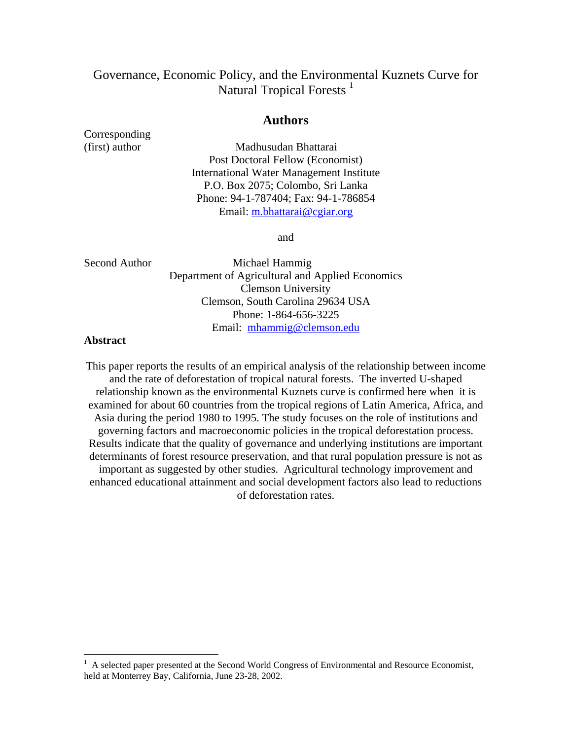# Governance, Economic Policy, and the Environmental Kuznets Curve for Natural Tropical Forests<sup>1</sup>

## **Authors**

Corresponding

(first) author Madhusudan Bhattarai Post Doctoral Fellow (Economist) International Water Management Institute P.O. Box 2075; Colombo, Sri Lanka Phone: 94-1-787404; Fax: 94-1-786854 Email: m.bhattarai@cgiar.org

and

Second Author Michael Hammig Department of Agricultural and Applied Economics Clemson University Clemson, South Carolina 29634 USA Phone: 1-864-656-3225 Email: mhammig@clemson.edu

## **Abstract**

 $\overline{a}$ 

This paper reports the results of an empirical analysis of the relationship between income and the rate of deforestation of tropical natural forests. The inverted U-shaped relationship known as the environmental Kuznets curve is confirmed here when it is examined for about 60 countries from the tropical regions of Latin America, Africa, and Asia during the period 1980 to 1995. The study focuses on the role of institutions and governing factors and macroeconomic policies in the tropical deforestation process. Results indicate that the quality of governance and underlying institutions are important determinants of forest resource preservation, and that rural population pressure is not as important as suggested by other studies. Agricultural technology improvement and enhanced educational attainment and social development factors also lead to reductions of deforestation rates.

<sup>1</sup> A selected paper presented at the Second World Congress of Environmental and Resource Economist, held at Monterrey Bay, California, June 23-28, 2002.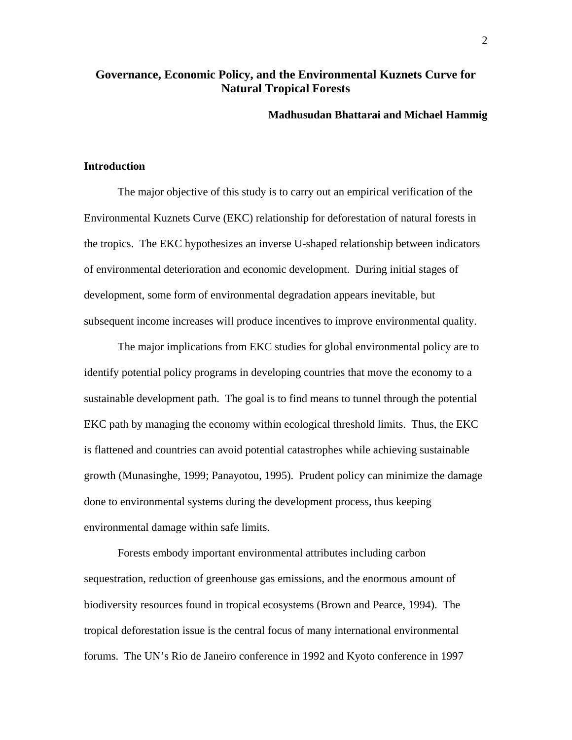## **Governance, Economic Policy, and the Environmental Kuznets Curve for Natural Tropical Forests**

### **Madhusudan Bhattarai and Michael Hammig**

## **Introduction**

The major objective of this study is to carry out an empirical verification of the Environmental Kuznets Curve (EKC) relationship for deforestation of natural forests in the tropics. The EKC hypothesizes an inverse U-shaped relationship between indicators of environmental deterioration and economic development. During initial stages of development, some form of environmental degradation appears inevitable, but subsequent income increases will produce incentives to improve environmental quality.

The major implications from EKC studies for global environmental policy are to identify potential policy programs in developing countries that move the economy to a sustainable development path. The goal is to find means to tunnel through the potential EKC path by managing the economy within ecological threshold limits. Thus, the EKC is flattened and countries can avoid potential catastrophes while achieving sustainable growth (Munasinghe, 1999; Panayotou, 1995). Prudent policy can minimize the damage done to environmental systems during the development process, thus keeping environmental damage within safe limits.

Forests embody important environmental attributes including carbon sequestration, reduction of greenhouse gas emissions, and the enormous amount of biodiversity resources found in tropical ecosystems (Brown and Pearce, 1994). The tropical deforestation issue is the central focus of many international environmental forums. The UN's Rio de Janeiro conference in 1992 and Kyoto conference in 1997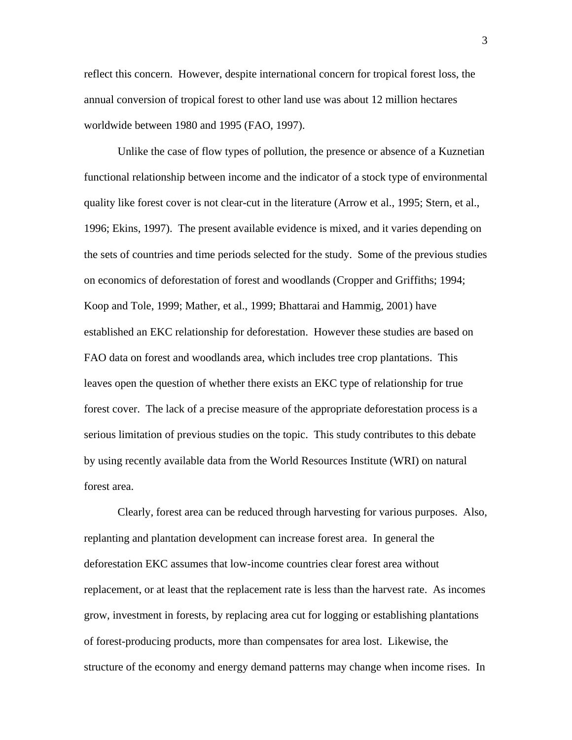reflect this concern. However, despite international concern for tropical forest loss, the annual conversion of tropical forest to other land use was about 12 million hectares worldwide between 1980 and 1995 (FAO, 1997).

Unlike the case of flow types of pollution, the presence or absence of a Kuznetian functional relationship between income and the indicator of a stock type of environmental quality like forest cover is not clear-cut in the literature (Arrow et al., 1995; Stern, et al., 1996; Ekins, 1997). The present available evidence is mixed, and it varies depending on the sets of countries and time periods selected for the study. Some of the previous studies on economics of deforestation of forest and woodlands (Cropper and Griffiths; 1994; Koop and Tole, 1999; Mather, et al., 1999; Bhattarai and Hammig, 2001) have established an EKC relationship for deforestation. However these studies are based on FAO data on forest and woodlands area, which includes tree crop plantations. This leaves open the question of whether there exists an EKC type of relationship for true forest cover. The lack of a precise measure of the appropriate deforestation process is a serious limitation of previous studies on the topic. This study contributes to this debate by using recently available data from the World Resources Institute (WRI) on natural forest area.

Clearly, forest area can be reduced through harvesting for various purposes. Also, replanting and plantation development can increase forest area. In general the deforestation EKC assumes that low-income countries clear forest area without replacement, or at least that the replacement rate is less than the harvest rate. As incomes grow, investment in forests, by replacing area cut for logging or establishing plantations of forest-producing products, more than compensates for area lost. Likewise, the structure of the economy and energy demand patterns may change when income rises. In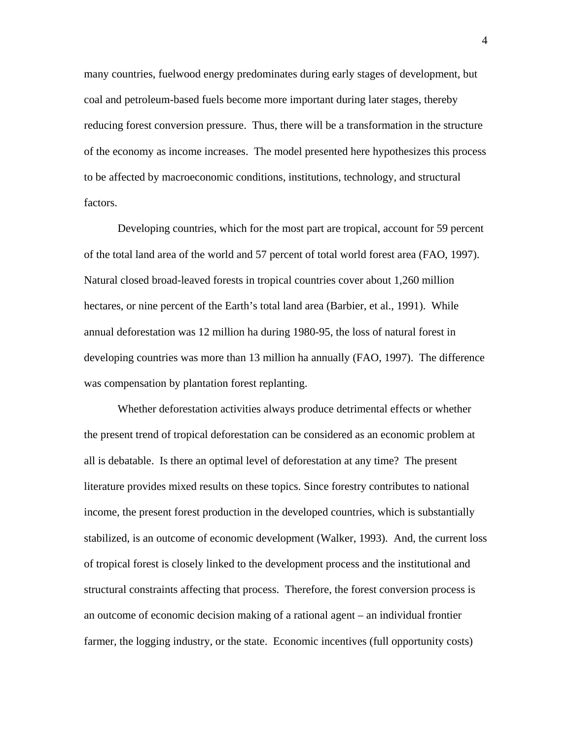many countries, fuelwood energy predominates during early stages of development, but coal and petroleum-based fuels become more important during later stages, thereby reducing forest conversion pressure. Thus, there will be a transformation in the structure of the economy as income increases. The model presented here hypothesizes this process to be affected by macroeconomic conditions, institutions, technology, and structural factors.

Developing countries, which for the most part are tropical, account for 59 percent of the total land area of the world and 57 percent of total world forest area (FAO, 1997). Natural closed broad-leaved forests in tropical countries cover about 1,260 million hectares, or nine percent of the Earth's total land area (Barbier, et al., 1991). While annual deforestation was 12 million ha during 1980-95, the loss of natural forest in developing countries was more than 13 million ha annually (FAO, 1997). The difference was compensation by plantation forest replanting.

Whether deforestation activities always produce detrimental effects or whether the present trend of tropical deforestation can be considered as an economic problem at all is debatable. Is there an optimal level of deforestation at any time? The present literature provides mixed results on these topics. Since forestry contributes to national income, the present forest production in the developed countries, which is substantially stabilized, is an outcome of economic development (Walker, 1993). And, the current loss of tropical forest is closely linked to the development process and the institutional and structural constraints affecting that process. Therefore, the forest conversion process is an outcome of economic decision making of a rational agent – an individual frontier farmer, the logging industry, or the state. Economic incentives (full opportunity costs)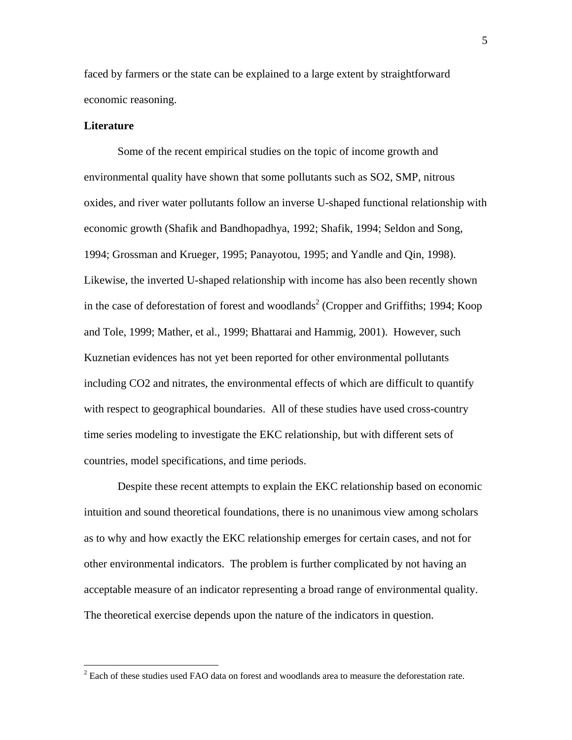faced by farmers or the state can be explained to a large extent by straightforward economic reasoning.

#### **Literature**

Some of the recent empirical studies on the topic of income growth and environmental quality have shown that some pollutants such as SO2, SMP, nitrous oxides, and river water pollutants follow an inverse U-shaped functional relationship with economic growth (Shafik and Bandhopadhya, 1992; Shafik, 1994; Seldon and Song, 1994; Grossman and Krueger, 1995; Panayotou, 1995; and Yandle and Qin, 1998). Likewise, the inverted U-shaped relationship with income has also been recently shown in the case of deforestation of forest and woodlands<sup>2</sup> (Cropper and Griffiths; 1994; Koop and Tole, 1999; Mather, et al., 1999; Bhattarai and Hammig, 2001). However, such Kuznetian evidences has not yet been reported for other environmental pollutants including CO2 and nitrates, the environmental effects of which are difficult to quantify with respect to geographical boundaries. All of these studies have used cross-country time series modeling to investigate the EKC relationship, but with different sets of countries, model specifications, and time periods.

Despite these recent attempts to explain the EKC relationship based on economic intuition and sound theoretical foundations, there is no unanimous view among scholars as to why and how exactly the EKC relationship emerges for certain cases, and not for other environmental indicators. The problem is further complicated by not having an acceptable measure of an indicator representing a broad range of environmental quality. The theoretical exercise depends upon the nature of the indicators in question.

<sup>&</sup>lt;sup>2</sup> Each of these studies used FAO data on forest and woodlands area to measure the deforestation rate.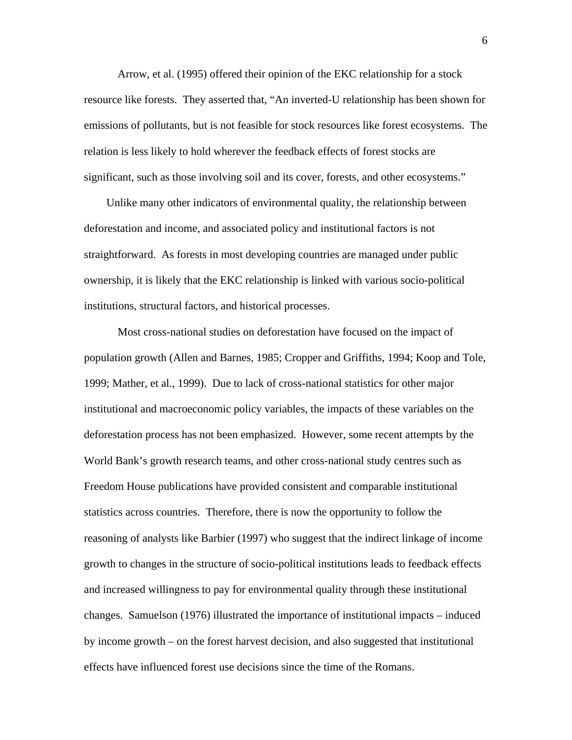Arrow, et al. (1995) offered their opinion of the EKC relationship for a stock resource like forests. They asserted that, "An inverted-U relationship has been shown for emissions of pollutants, but is not feasible for stock resources like forest ecosystems. The relation is less likely to hold wherever the feedback effects of forest stocks are significant, such as those involving soil and its cover, forests, and other ecosystems."

Unlike many other indicators of environmental quality, the relationship between deforestation and income, and associated policy and institutional factors is not straightforward. As forests in most developing countries are managed under public ownership, it is likely that the EKC relationship is linked with various socio-political institutions, structural factors, and historical processes.

Most cross-national studies on deforestation have focused on the impact of population growth (Allen and Barnes, 1985; Cropper and Griffiths, 1994; Koop and Tole, 1999; Mather, et al., 1999). Due to lack of cross-national statistics for other major institutional and macroeconomic policy variables, the impacts of these variables on the deforestation process has not been emphasized. However, some recent attempts by the World Bank's growth research teams, and other cross-national study centres such as Freedom House publications have provided consistent and comparable institutional statistics across countries. Therefore, there is now the opportunity to follow the reasoning of analysts like Barbier (1997) who suggest that the indirect linkage of income growth to changes in the structure of socio-political institutions leads to feedback effects and increased willingness to pay for environmental quality through these institutional changes. Samuelson (1976) illustrated the importance of institutional impacts – induced by income growth – on the forest harvest decision, and also suggested that institutional effects have influenced forest use decisions since the time of the Romans.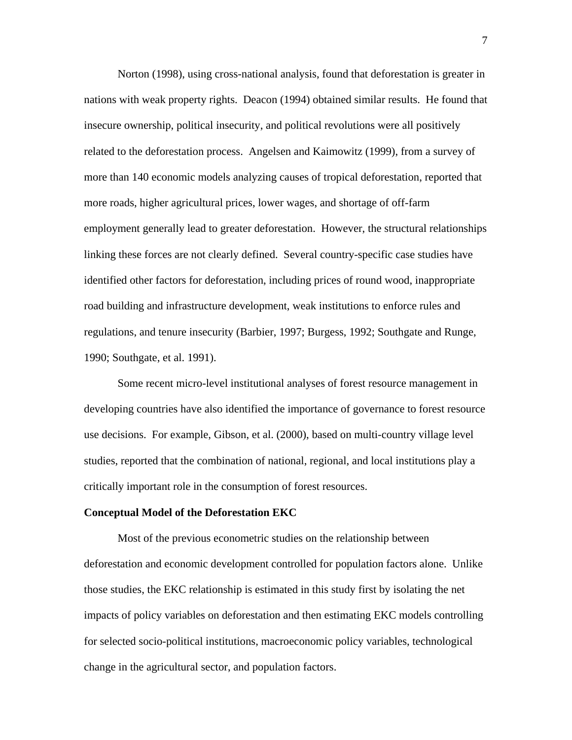Norton (1998), using cross-national analysis, found that deforestation is greater in nations with weak property rights. Deacon (1994) obtained similar results. He found that insecure ownership, political insecurity, and political revolutions were all positively related to the deforestation process. Angelsen and Kaimowitz (1999), from a survey of more than 140 economic models analyzing causes of tropical deforestation, reported that more roads, higher agricultural prices, lower wages, and shortage of off-farm employment generally lead to greater deforestation. However, the structural relationships linking these forces are not clearly defined. Several country-specific case studies have identified other factors for deforestation, including prices of round wood, inappropriate road building and infrastructure development, weak institutions to enforce rules and regulations, and tenure insecurity (Barbier, 1997; Burgess, 1992; Southgate and Runge, 1990; Southgate, et al. 1991).

Some recent micro-level institutional analyses of forest resource management in developing countries have also identified the importance of governance to forest resource use decisions. For example, Gibson, et al. (2000), based on multi-country village level studies, reported that the combination of national, regional, and local institutions play a critically important role in the consumption of forest resources.

#### **Conceptual Model of the Deforestation EKC**

Most of the previous econometric studies on the relationship between deforestation and economic development controlled for population factors alone. Unlike those studies, the EKC relationship is estimated in this study first by isolating the net impacts of policy variables on deforestation and then estimating EKC models controlling for selected socio-political institutions, macroeconomic policy variables, technological change in the agricultural sector, and population factors.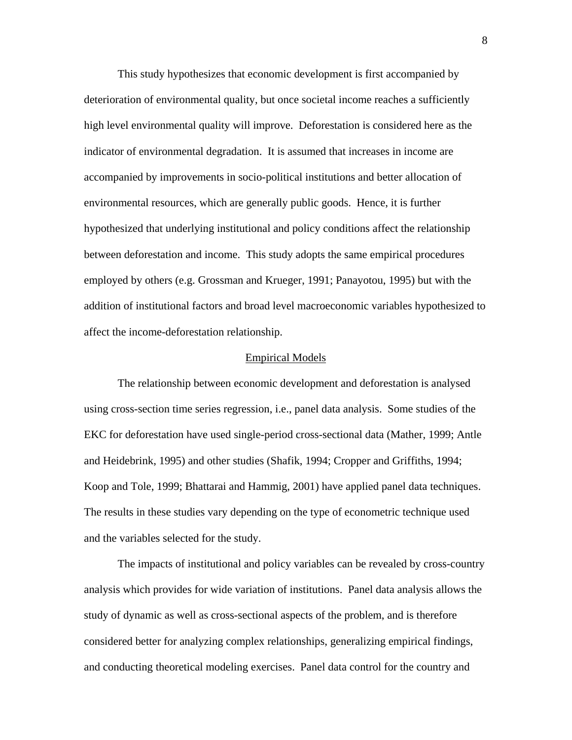This study hypothesizes that economic development is first accompanied by deterioration of environmental quality, but once societal income reaches a sufficiently high level environmental quality will improve. Deforestation is considered here as the indicator of environmental degradation. It is assumed that increases in income are accompanied by improvements in socio-political institutions and better allocation of environmental resources, which are generally public goods. Hence, it is further hypothesized that underlying institutional and policy conditions affect the relationship between deforestation and income. This study adopts the same empirical procedures employed by others (e.g. Grossman and Krueger, 1991; Panayotou, 1995) but with the addition of institutional factors and broad level macroeconomic variables hypothesized to affect the income-deforestation relationship.

#### Empirical Models

The relationship between economic development and deforestation is analysed using cross-section time series regression, i.e., panel data analysis. Some studies of the EKC for deforestation have used single-period cross-sectional data (Mather, 1999; Antle and Heidebrink, 1995) and other studies (Shafik, 1994; Cropper and Griffiths, 1994; Koop and Tole, 1999; Bhattarai and Hammig, 2001) have applied panel data techniques. The results in these studies vary depending on the type of econometric technique used and the variables selected for the study.

The impacts of institutional and policy variables can be revealed by cross-country analysis which provides for wide variation of institutions. Panel data analysis allows the study of dynamic as well as cross-sectional aspects of the problem, and is therefore considered better for analyzing complex relationships, generalizing empirical findings, and conducting theoretical modeling exercises. Panel data control for the country and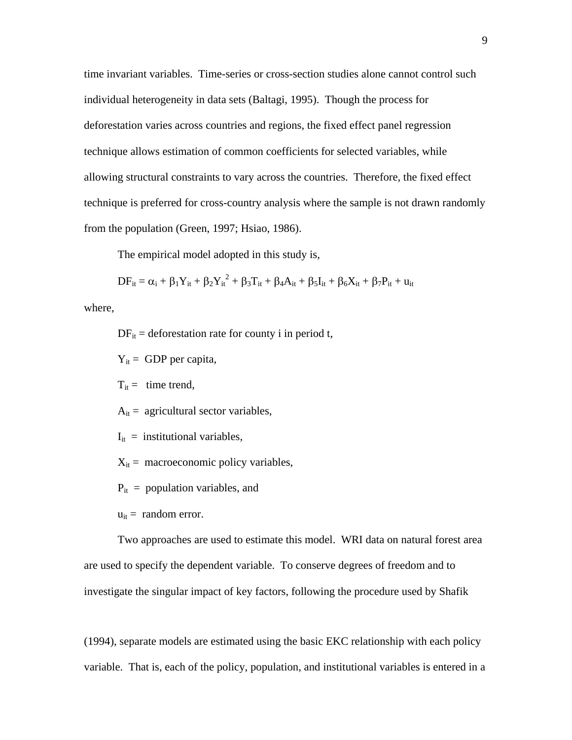time invariant variables. Time-series or cross-section studies alone cannot control such individual heterogeneity in data sets (Baltagi, 1995). Though the process for deforestation varies across countries and regions, the fixed effect panel regression technique allows estimation of common coefficients for selected variables, while allowing structural constraints to vary across the countries. Therefore, the fixed effect technique is preferred for cross-country analysis where the sample is not drawn randomly from the population (Green, 1997; Hsiao, 1986).

The empirical model adopted in this study is,

$$
DF_{it}=\alpha_i+\beta_1Y_{it}+\beta_2{Y_{it}}^2+\beta_3T_{it}+\beta_4A_{it}+\beta_5I_{it}+\beta_6X_{it}+\beta_7P_{it}+u_{it}
$$

where,

 $DF_{it}$  = deforestation rate for county i in period t,

 $Y_{it}$  = GDP per capita,

 $T_{it}$  = time trend,

 $A_{it}$  = agricultural sector variables,

 $I_{it}$  = institutional variables,

 $X_{it}$  = macroeconomic policy variables,

 $P_{it}$  = population variables, and

 $u_{it}$  = random error.

Two approaches are used to estimate this model. WRI data on natural forest area are used to specify the dependent variable. To conserve degrees of freedom and to investigate the singular impact of key factors, following the procedure used by Shafik

(1994), separate models are estimated using the basic EKC relationship with each policy variable. That is, each of the policy, population, and institutional variables is entered in a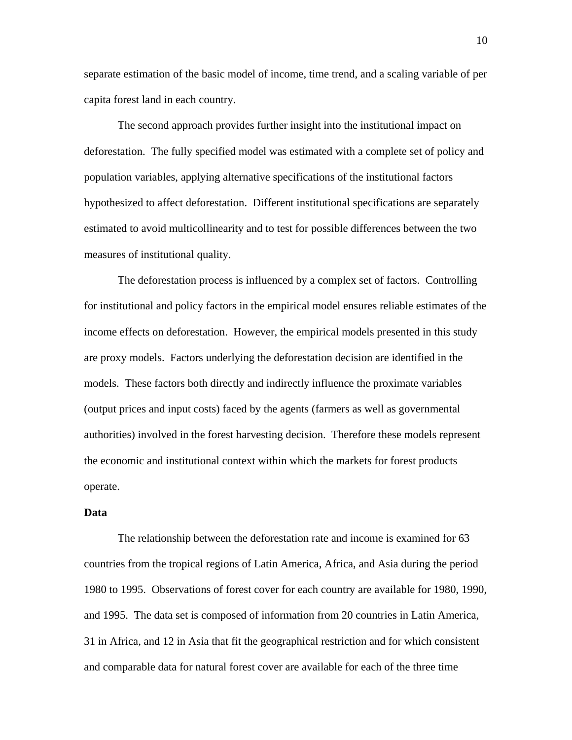separate estimation of the basic model of income, time trend, and a scaling variable of per capita forest land in each country.

The second approach provides further insight into the institutional impact on deforestation. The fully specified model was estimated with a complete set of policy and population variables, applying alternative specifications of the institutional factors hypothesized to affect deforestation. Different institutional specifications are separately estimated to avoid multicollinearity and to test for possible differences between the two measures of institutional quality.

The deforestation process is influenced by a complex set of factors. Controlling for institutional and policy factors in the empirical model ensures reliable estimates of the income effects on deforestation. However, the empirical models presented in this study are proxy models. Factors underlying the deforestation decision are identified in the models. These factors both directly and indirectly influence the proximate variables (output prices and input costs) faced by the agents (farmers as well as governmental authorities) involved in the forest harvesting decision. Therefore these models represent the economic and institutional context within which the markets for forest products operate.

## **Data**

The relationship between the deforestation rate and income is examined for 63 countries from the tropical regions of Latin America, Africa, and Asia during the period 1980 to 1995. Observations of forest cover for each country are available for 1980, 1990, and 1995. The data set is composed of information from 20 countries in Latin America, 31 in Africa, and 12 in Asia that fit the geographical restriction and for which consistent and comparable data for natural forest cover are available for each of the three time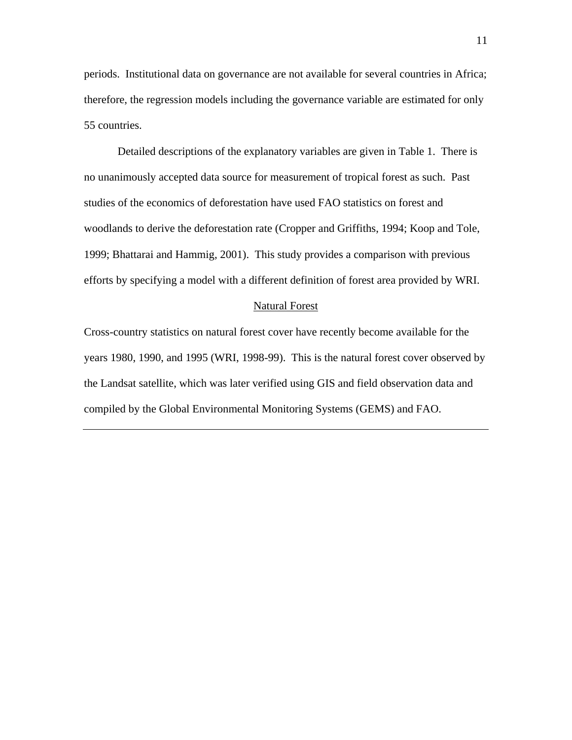periods. Institutional data on governance are not available for several countries in Africa; therefore, the regression models including the governance variable are estimated for only 55 countries.

Detailed descriptions of the explanatory variables are given in Table 1. There is no unanimously accepted data source for measurement of tropical forest as such. Past studies of the economics of deforestation have used FAO statistics on forest and woodlands to derive the deforestation rate (Cropper and Griffiths, 1994; Koop and Tole, 1999; Bhattarai and Hammig, 2001). This study provides a comparison with previous efforts by specifying a model with a different definition of forest area provided by WRI.

#### Natural Forest

Cross-country statistics on natural forest cover have recently become available for the years 1980, 1990, and 1995 (WRI, 1998-99). This is the natural forest cover observed by the Landsat satellite, which was later verified using GIS and field observation data and compiled by the Global Environmental Monitoring Systems (GEMS) and FAO.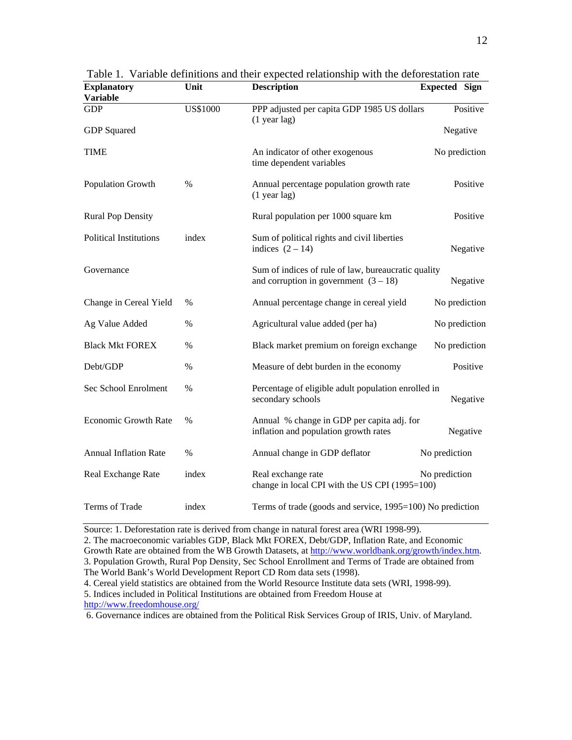| <b>Explanatory</b><br><b>Variable</b> | Unit            | <b>Description</b>                                                                             | <b>Expected Sign</b> |  |
|---------------------------------------|-----------------|------------------------------------------------------------------------------------------------|----------------------|--|
| <b>GDP</b>                            | <b>US\$1000</b> | PPP adjusted per capita GDP 1985 US dollars<br>$(1$ year lag)                                  | Positive             |  |
| <b>GDP</b> Squared                    |                 |                                                                                                | Negative             |  |
| <b>TIME</b>                           |                 | An indicator of other exogenous<br>time dependent variables                                    | No prediction        |  |
| Population Growth                     | $\%$            | Annual percentage population growth rate<br>$(1$ year lag)                                     | Positive             |  |
| <b>Rural Pop Density</b>              |                 | Rural population per 1000 square km                                                            | Positive             |  |
| <b>Political Institutions</b>         | index           | Sum of political rights and civil liberties<br>indices $(2 - 14)$                              | Negative             |  |
| Governance                            |                 | Sum of indices of rule of law, bureaucratic quality<br>and corruption in government $(3 - 18)$ | Negative             |  |
| Change in Cereal Yield                | %               | Annual percentage change in cereal yield                                                       | No prediction        |  |
| Ag Value Added                        | $\%$            | Agricultural value added (per ha)                                                              | No prediction        |  |
| <b>Black Mkt FOREX</b>                | $\%$            | Black market premium on foreign exchange                                                       | No prediction        |  |
| Debt/GDP                              | $\%$            | Measure of debt burden in the economy                                                          | Positive             |  |
| Sec School Enrolment                  | $\%$            | Percentage of eligible adult population enrolled in<br>secondary schools                       | Negative             |  |
| <b>Economic Growth Rate</b>           | %               | Annual % change in GDP per capita adj. for<br>inflation and population growth rates            | Negative             |  |
| <b>Annual Inflation Rate</b>          | $\%$            | Annual change in GDP deflator                                                                  | No prediction        |  |
| Real Exchange Rate                    | index           | Real exchange rate<br>change in local CPI with the US CPI (1995=100)                           | No prediction        |  |
| Terms of Trade                        | index           | Terms of trade (goods and service, 1995=100) No prediction                                     |                      |  |

Table 1. Variable definitions and their expected relationship with the deforestation rate

Source: 1. Deforestation rate is derived from change in natural forest area (WRI 1998-99).

2. The macroeconomic variables GDP, Black Mkt FOREX, Debt/GDP, Inflation Rate, and Economic Growth Rate are obtained from the WB Growth Datasets, at http://www.worldbank.org/growth/index.htm. 3. Population Growth, Rural Pop Density, Sec School Enrollment and Terms of Trade are obtained from The World Bank's World Development Report CD Rom data sets (1998).

4. Cereal yield statistics are obtained from the World Resource Institute data sets (WRI, 1998-99).

5. Indices included in Political Institutions are obtained from Freedom House at

http://www.freedomhouse.org/

6. Governance indices are obtained from the Political Risk Services Group of IRIS, Univ. of Maryland.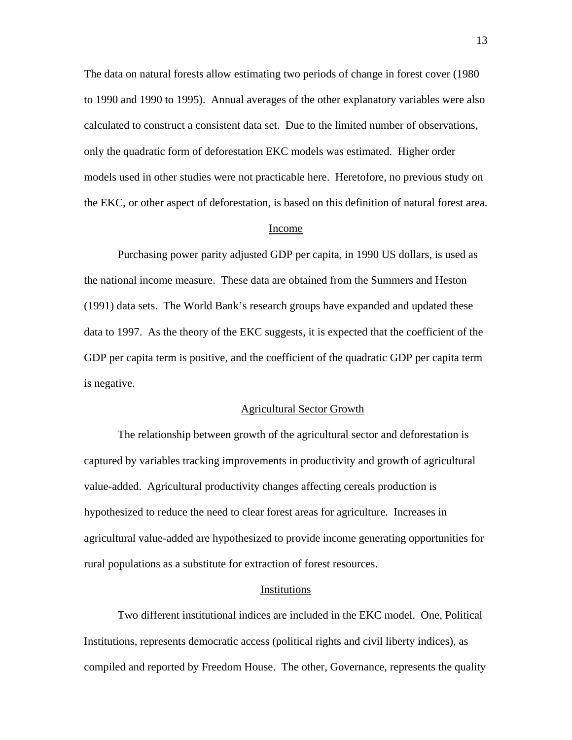The data on natural forests allow estimating two periods of change in forest cover (1980 to 1990 and 1990 to 1995). Annual averages of the other explanatory variables were also calculated to construct a consistent data set. Due to the limited number of observations, only the quadratic form of deforestation EKC models was estimated. Higher order models used in other studies were not practicable here. Heretofore, no previous study on the EKC, or other aspect of deforestation, is based on this definition of natural forest area.

### Income

Purchasing power parity adjusted GDP per capita, in 1990 US dollars, is used as the national income measure. These data are obtained from the Summers and Heston (1991) data sets. The World Bank's research groups have expanded and updated these data to 1997. As the theory of the EKC suggests, it is expected that the coefficient of the GDP per capita term is positive, and the coefficient of the quadratic GDP per capita term is negative.

#### Agricultural Sector Growth

The relationship between growth of the agricultural sector and deforestation is captured by variables tracking improvements in productivity and growth of agricultural value-added. Agricultural productivity changes affecting cereals production is hypothesized to reduce the need to clear forest areas for agriculture. Increases in agricultural value-added are hypothesized to provide income generating opportunities for rural populations as a substitute for extraction of forest resources.

#### Institutions

Two different institutional indices are included in the EKC model. One, Political Institutions, represents democratic access (political rights and civil liberty indices), as compiled and reported by Freedom House. The other, Governance, represents the quality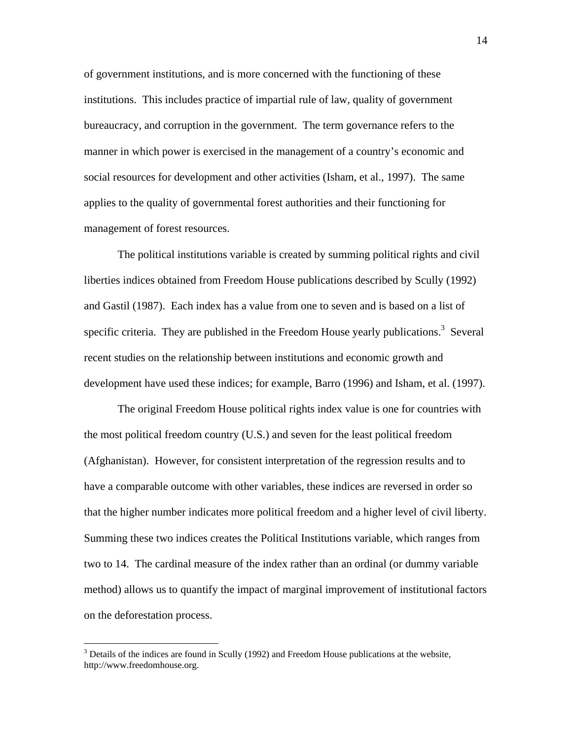of government institutions, and is more concerned with the functioning of these institutions. This includes practice of impartial rule of law, quality of government bureaucracy, and corruption in the government. The term governance refers to the manner in which power is exercised in the management of a country's economic and social resources for development and other activities (Isham, et al., 1997). The same applies to the quality of governmental forest authorities and their functioning for management of forest resources.

The political institutions variable is created by summing political rights and civil liberties indices obtained from Freedom House publications described by Scully (1992) and Gastil (1987). Each index has a value from one to seven and is based on a list of specific criteria. They are published in the Freedom House yearly publications.<sup>3</sup> Several recent studies on the relationship between institutions and economic growth and development have used these indices; for example, Barro (1996) and Isham, et al. (1997).

The original Freedom House political rights index value is one for countries with the most political freedom country (U.S.) and seven for the least political freedom (Afghanistan). However, for consistent interpretation of the regression results and to have a comparable outcome with other variables, these indices are reversed in order so that the higher number indicates more political freedom and a higher level of civil liberty. Summing these two indices creates the Political Institutions variable, which ranges from two to 14. The cardinal measure of the index rather than an ordinal (or dummy variable method) allows us to quantify the impact of marginal improvement of institutional factors on the deforestation process.

1

 $3$  Details of the indices are found in Scully (1992) and Freedom House publications at the website, http://www.freedomhouse.org.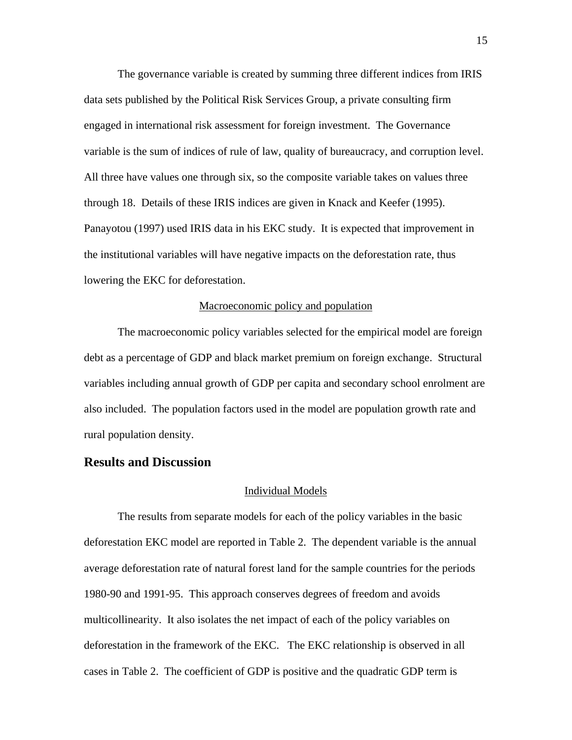The governance variable is created by summing three different indices from IRIS data sets published by the Political Risk Services Group, a private consulting firm engaged in international risk assessment for foreign investment. The Governance variable is the sum of indices of rule of law, quality of bureaucracy, and corruption level. All three have values one through six, so the composite variable takes on values three through 18. Details of these IRIS indices are given in Knack and Keefer (1995). Panayotou (1997) used IRIS data in his EKC study. It is expected that improvement in the institutional variables will have negative impacts on the deforestation rate, thus lowering the EKC for deforestation.

### Macroeconomic policy and population

The macroeconomic policy variables selected for the empirical model are foreign debt as a percentage of GDP and black market premium on foreign exchange. Structural variables including annual growth of GDP per capita and secondary school enrolment are also included. The population factors used in the model are population growth rate and rural population density.

## **Results and Discussion**

### Individual Models

The results from separate models for each of the policy variables in the basic deforestation EKC model are reported in Table 2. The dependent variable is the annual average deforestation rate of natural forest land for the sample countries for the periods 1980-90 and 1991-95. This approach conserves degrees of freedom and avoids multicollinearity. It also isolates the net impact of each of the policy variables on deforestation in the framework of the EKC. The EKC relationship is observed in all cases in Table 2. The coefficient of GDP is positive and the quadratic GDP term is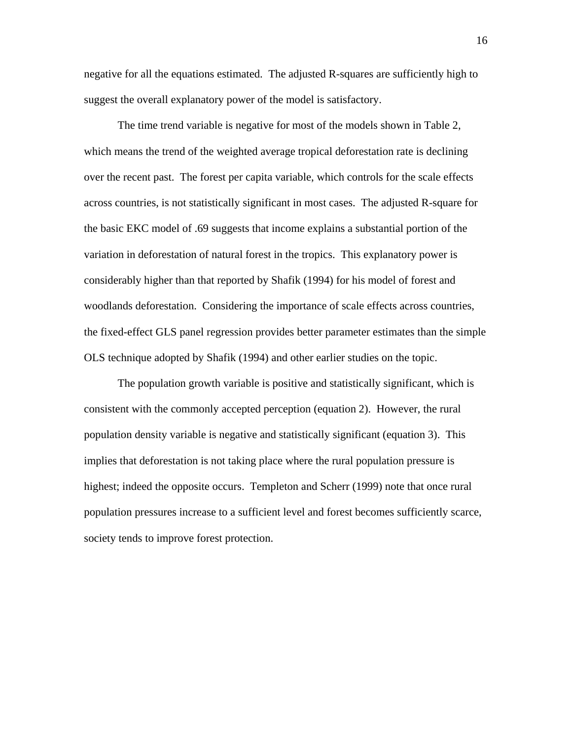negative for all the equations estimated. The adjusted R-squares are sufficiently high to suggest the overall explanatory power of the model is satisfactory.

The time trend variable is negative for most of the models shown in Table 2, which means the trend of the weighted average tropical deforestation rate is declining over the recent past. The forest per capita variable, which controls for the scale effects across countries, is not statistically significant in most cases. The adjusted R-square for the basic EKC model of .69 suggests that income explains a substantial portion of the variation in deforestation of natural forest in the tropics. This explanatory power is considerably higher than that reported by Shafik (1994) for his model of forest and woodlands deforestation. Considering the importance of scale effects across countries, the fixed-effect GLS panel regression provides better parameter estimates than the simple OLS technique adopted by Shafik (1994) and other earlier studies on the topic.

 The population growth variable is positive and statistically significant, which is consistent with the commonly accepted perception (equation 2). However, the rural population density variable is negative and statistically significant (equation 3). This implies that deforestation is not taking place where the rural population pressure is highest; indeed the opposite occurs. Templeton and Scherr (1999) note that once rural population pressures increase to a sufficient level and forest becomes sufficiently scarce, society tends to improve forest protection.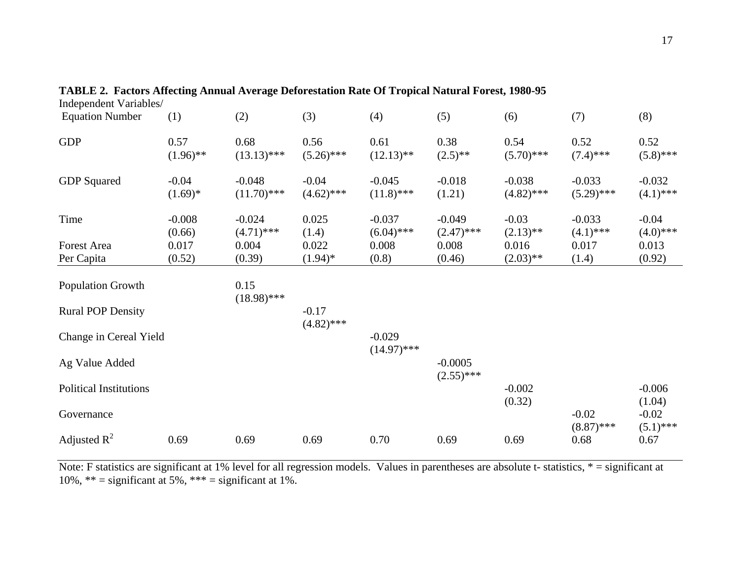| Independent Variables/        |                      |                           |                         |                           |                           |                          |                          |                         |
|-------------------------------|----------------------|---------------------------|-------------------------|---------------------------|---------------------------|--------------------------|--------------------------|-------------------------|
| <b>Equation Number</b>        | (1)                  | (2)                       | (3)                     | (4)                       | (5)                       | (6)                      | (7)                      | (8)                     |
| <b>GDP</b>                    | 0.57<br>$(1.96)$ **  | 0.68<br>$(13.13)$ ***     | 0.56<br>$(5.26)$ ***    | 0.61<br>$(12.13)$ **      | 0.38<br>$(2.5)$ **        | 0.54<br>$(5.70)$ ***     | 0.52<br>$(7.4)$ ***      | 0.52<br>$(5.8)$ ***     |
| <b>GDP</b> Squared            | $-0.04$<br>$(1.69)*$ | $-0.048$<br>$(11.70)$ *** | $-0.04$<br>$(4.62)$ *** | $-0.045$<br>$(11.8)$ ***  | $-0.018$<br>(1.21)        | $-0.038$<br>$(4.82)$ *** | $-0.033$<br>$(5.29)$ *** | $-0.032$<br>$(4.1)$ *** |
| Time                          | $-0.008$<br>(0.66)   | $-0.024$<br>$(4.71)$ ***  | 0.025<br>(1.4)          | $-0.037$<br>$(6.04)$ ***  | $-0.049$<br>$(2.47)$ ***  | $-0.03$<br>$(2.13)$ **   | $-0.033$<br>$(4.1)$ ***  | $-0.04$<br>$(4.0)$ ***  |
| <b>Forest Area</b>            | 0.017                | 0.004                     | 0.022                   | 0.008                     | 0.008                     | 0.016                    | 0.017                    | 0.013                   |
| Per Capita                    | (0.52)               | (0.39)                    | $(1.94)^*$              | (0.8)                     | (0.46)                    | $(2.03)$ **              | (1.4)                    | (0.92)                  |
| Population Growth             |                      | 0.15<br>$(18.98)$ ***     |                         |                           |                           |                          |                          |                         |
| <b>Rural POP Density</b>      |                      |                           | $-0.17$<br>$(4.82)$ *** |                           |                           |                          |                          |                         |
| Change in Cereal Yield        |                      |                           |                         | $-0.029$<br>$(14.97)$ *** |                           |                          |                          |                         |
| Ag Value Added                |                      |                           |                         |                           | $-0.0005$<br>$(2.55)$ *** |                          |                          |                         |
| <b>Political Institutions</b> |                      |                           |                         |                           |                           | $-0.002$<br>(0.32)       |                          | $-0.006$<br>(1.04)      |
| Governance                    |                      |                           |                         |                           |                           |                          | $-0.02$<br>$(8.87)$ ***  | $-0.02$<br>$(5.1)$ ***  |
| Adjusted $R^2$                | 0.69                 | 0.69                      | 0.69                    | 0.70                      | 0.69                      | 0.69                     | 0.68                     | 0.67                    |

**TABLE 2. Factors Affecting Annual Average Deforestation Rate Of Tropical Natural Forest, 1980-95** 

Note: F statistics are significant at 1% level for all regression models. Values in parentheses are absolute t- statistics, \* = significant at 10%,  $** =$  significant at 5%,  $*** =$  significant at 1%.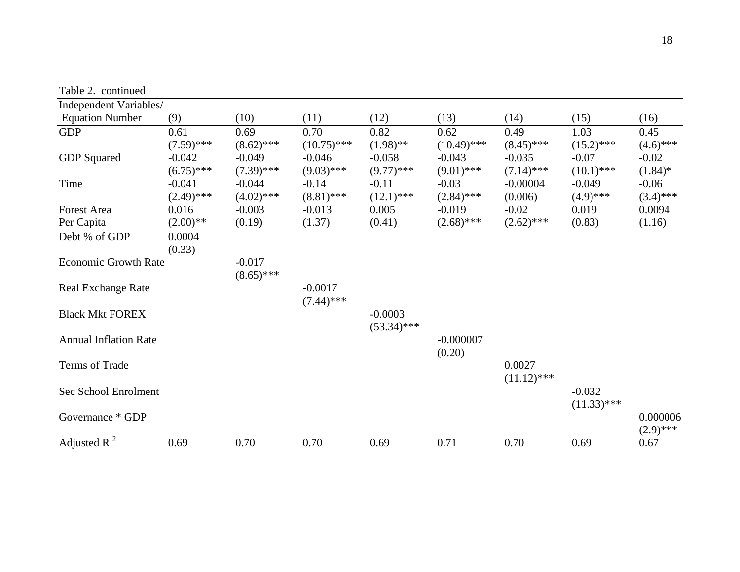| Table 2. continued           |              |              |               |               |               |               |               |             |
|------------------------------|--------------|--------------|---------------|---------------|---------------|---------------|---------------|-------------|
| Independent Variables/       |              |              |               |               |               |               |               |             |
| <b>Equation Number</b>       | (9)          | (10)         | (11)          | (12)          | (13)          | (14)          | (15)          | (16)        |
| <b>GDP</b>                   | 0.61         | 0.69         | 0.70          | 0.82          | 0.62          | 0.49          | 1.03          | 0.45        |
|                              | $(7.59)$ *** | $(8.62)$ *** | $(10.75)$ *** | $(1.98)$ **   | $(10.49)$ *** | $(8.45)$ ***  | $(15.2)$ ***  | $(4.6)$ *** |
| <b>GDP</b> Squared           | $-0.042$     | $-0.049$     | $-0.046$      | $-0.058$      | $-0.043$      | $-0.035$      | $-0.07$       | $-0.02$     |
|                              | $(6.75)$ *** | $(7.39)$ *** | $(9.03)$ ***  | $(9.77)$ ***  | $(9.01)$ ***  | $(7.14)$ ***  | $(10.1)$ ***  | $(1.84)$ *  |
| Time                         | $-0.041$     | $-0.044$     | $-0.14$       | $-0.11$       | $-0.03$       | $-0.00004$    | $-0.049$      | $-0.06$     |
|                              | $(2.49)$ *** | $(4.02)$ *** | $(8.81)$ ***  | $(12.1)$ ***  | $(2.84)$ ***  | (0.006)       | $(4.9)$ ***   | $(3.4)$ *** |
| <b>Forest Area</b>           | 0.016        | $-0.003$     | $-0.013$      | 0.005         | $-0.019$      | $-0.02$       | 0.019         | 0.0094      |
| Per Capita                   | $(2.00)$ **  | (0.19)       | (1.37)        | (0.41)        | $(2.68)$ ***  | $(2.62)$ ***  | (0.83)        | (1.16)      |
| Debt % of GDP                | 0.0004       |              |               |               |               |               |               |             |
|                              | (0.33)       |              |               |               |               |               |               |             |
| <b>Economic Growth Rate</b>  |              | $-0.017$     |               |               |               |               |               |             |
|                              |              | $(8.65)$ *** |               |               |               |               |               |             |
| <b>Real Exchange Rate</b>    |              |              | $-0.0017$     |               |               |               |               |             |
|                              |              |              | $(7.44)$ ***  |               |               |               |               |             |
| <b>Black Mkt FOREX</b>       |              |              |               | $-0.0003$     |               |               |               |             |
|                              |              |              |               | $(53.34)$ *** |               |               |               |             |
| <b>Annual Inflation Rate</b> |              |              |               |               | $-0.000007$   |               |               |             |
|                              |              |              |               |               | (0.20)        |               |               |             |
| Terms of Trade               |              |              |               |               |               | 0.0027        |               |             |
|                              |              |              |               |               |               | $(11.12)$ *** |               |             |
| Sec School Enrolment         |              |              |               |               |               |               | $-0.032$      |             |
|                              |              |              |               |               |               |               | $(11.33)$ *** |             |
| Governance * GDP             |              |              |               |               |               |               |               | 0.000006    |
|                              |              |              |               |               |               |               |               | $(2.9)$ *** |
| Adjusted R $^{2}$            | 0.69         | 0.70         | 0.70          | 0.69          | 0.71          | 0.70          | 0.69          | 0.67        |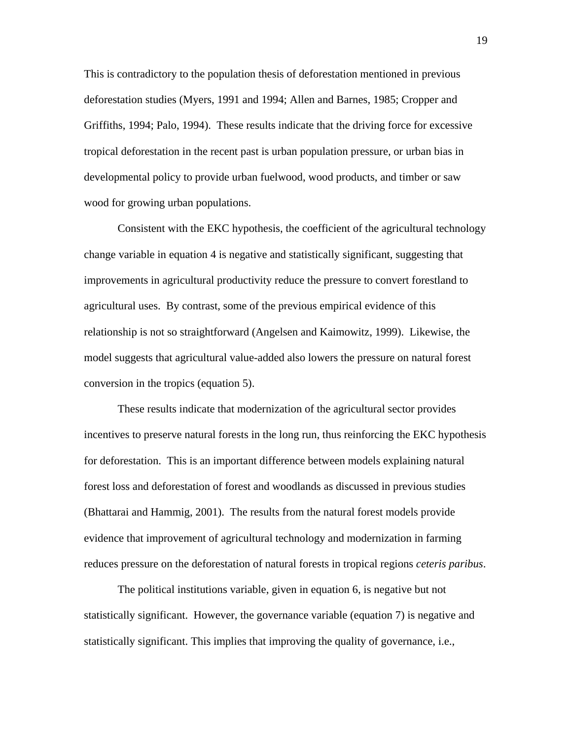This is contradictory to the population thesis of deforestation mentioned in previous deforestation studies (Myers, 1991 and 1994; Allen and Barnes, 1985; Cropper and Griffiths, 1994; Palo, 1994). These results indicate that the driving force for excessive tropical deforestation in the recent past is urban population pressure, or urban bias in developmental policy to provide urban fuelwood, wood products, and timber or saw wood for growing urban populations.

Consistent with the EKC hypothesis, the coefficient of the agricultural technology change variable in equation 4 is negative and statistically significant, suggesting that improvements in agricultural productivity reduce the pressure to convert forestland to agricultural uses. By contrast, some of the previous empirical evidence of this relationship is not so straightforward (Angelsen and Kaimowitz, 1999). Likewise, the model suggests that agricultural value-added also lowers the pressure on natural forest conversion in the tropics (equation 5).

These results indicate that modernization of the agricultural sector provides incentives to preserve natural forests in the long run, thus reinforcing the EKC hypothesis for deforestation. This is an important difference between models explaining natural forest loss and deforestation of forest and woodlands as discussed in previous studies (Bhattarai and Hammig, 2001). The results from the natural forest models provide evidence that improvement of agricultural technology and modernization in farming reduces pressure on the deforestation of natural forests in tropical regions *ceteris paribus*.

The political institutions variable, given in equation 6, is negative but not statistically significant. However, the governance variable (equation 7) is negative and statistically significant. This implies that improving the quality of governance, i.e.,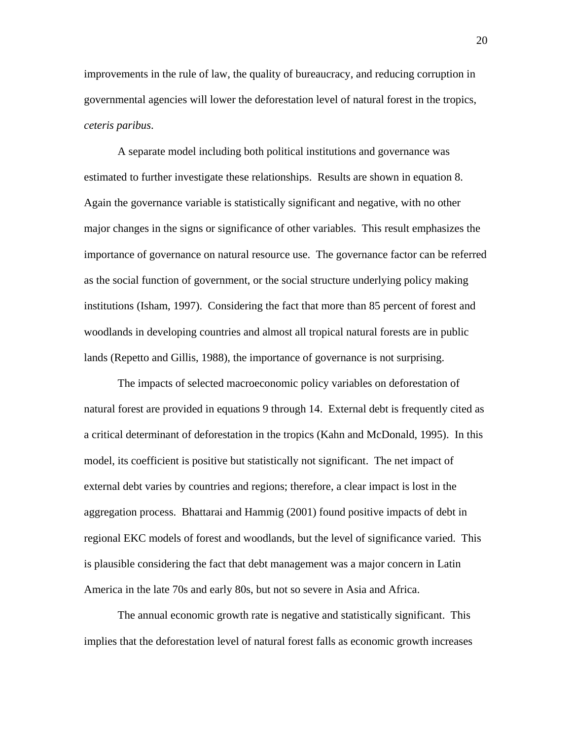improvements in the rule of law, the quality of bureaucracy, and reducing corruption in governmental agencies will lower the deforestation level of natural forest in the tropics, *ceteris paribus*.

A separate model including both political institutions and governance was estimated to further investigate these relationships. Results are shown in equation 8. Again the governance variable is statistically significant and negative, with no other major changes in the signs or significance of other variables. This result emphasizes the importance of governance on natural resource use. The governance factor can be referred as the social function of government, or the social structure underlying policy making institutions (Isham, 1997). Considering the fact that more than 85 percent of forest and woodlands in developing countries and almost all tropical natural forests are in public lands (Repetto and Gillis, 1988), the importance of governance is not surprising.

The impacts of selected macroeconomic policy variables on deforestation of natural forest are provided in equations 9 through 14. External debt is frequently cited as a critical determinant of deforestation in the tropics (Kahn and McDonald, 1995). In this model, its coefficient is positive but statistically not significant. The net impact of external debt varies by countries and regions; therefore, a clear impact is lost in the aggregation process. Bhattarai and Hammig (2001) found positive impacts of debt in regional EKC models of forest and woodlands, but the level of significance varied. This is plausible considering the fact that debt management was a major concern in Latin America in the late 70s and early 80s, but not so severe in Asia and Africa.

The annual economic growth rate is negative and statistically significant. This implies that the deforestation level of natural forest falls as economic growth increases

20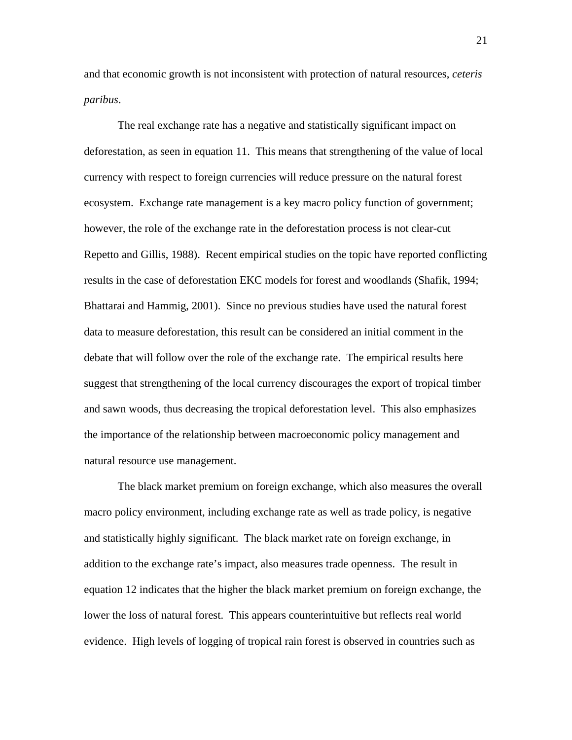and that economic growth is not inconsistent with protection of natural resources, *ceteris paribus*.

The real exchange rate has a negative and statistically significant impact on deforestation, as seen in equation 11. This means that strengthening of the value of local currency with respect to foreign currencies will reduce pressure on the natural forest ecosystem. Exchange rate management is a key macro policy function of government; however, the role of the exchange rate in the deforestation process is not clear-cut Repetto and Gillis, 1988). Recent empirical studies on the topic have reported conflicting results in the case of deforestation EKC models for forest and woodlands (Shafik, 1994; Bhattarai and Hammig, 2001). Since no previous studies have used the natural forest data to measure deforestation, this result can be considered an initial comment in the debate that will follow over the role of the exchange rate. The empirical results here suggest that strengthening of the local currency discourages the export of tropical timber and sawn woods, thus decreasing the tropical deforestation level. This also emphasizes the importance of the relationship between macroeconomic policy management and natural resource use management.

The black market premium on foreign exchange, which also measures the overall macro policy environment, including exchange rate as well as trade policy, is negative and statistically highly significant. The black market rate on foreign exchange, in addition to the exchange rate's impact, also measures trade openness. The result in equation 12 indicates that the higher the black market premium on foreign exchange, the lower the loss of natural forest. This appears counterintuitive but reflects real world evidence. High levels of logging of tropical rain forest is observed in countries such as

21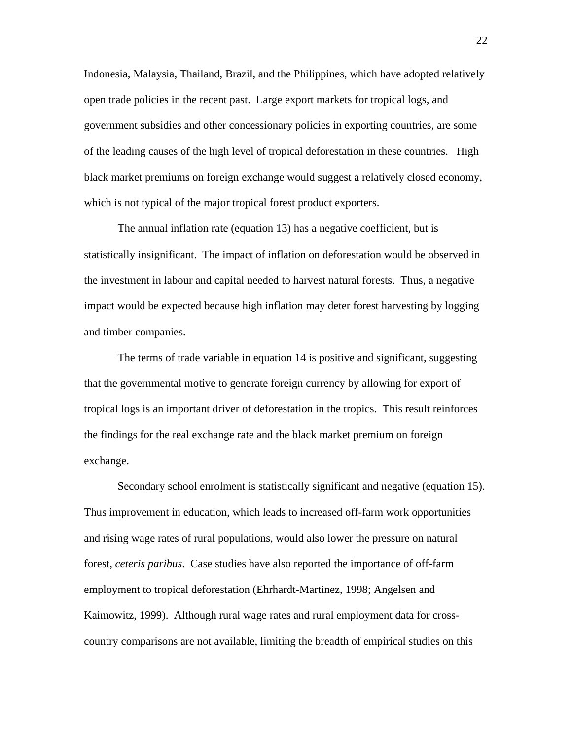Indonesia, Malaysia, Thailand, Brazil, and the Philippines, which have adopted relatively open trade policies in the recent past. Large export markets for tropical logs, and government subsidies and other concessionary policies in exporting countries, are some of the leading causes of the high level of tropical deforestation in these countries. High black market premiums on foreign exchange would suggest a relatively closed economy, which is not typical of the major tropical forest product exporters.

The annual inflation rate (equation 13) has a negative coefficient, but is statistically insignificant. The impact of inflation on deforestation would be observed in the investment in labour and capital needed to harvest natural forests. Thus, a negative impact would be expected because high inflation may deter forest harvesting by logging and timber companies.

The terms of trade variable in equation 14 is positive and significant, suggesting that the governmental motive to generate foreign currency by allowing for export of tropical logs is an important driver of deforestation in the tropics. This result reinforces the findings for the real exchange rate and the black market premium on foreign exchange.

Secondary school enrolment is statistically significant and negative (equation 15). Thus improvement in education, which leads to increased off-farm work opportunities and rising wage rates of rural populations, would also lower the pressure on natural forest, *ceteris paribus*. Case studies have also reported the importance of off-farm employment to tropical deforestation (Ehrhardt-Martinez, 1998; Angelsen and Kaimowitz, 1999). Although rural wage rates and rural employment data for crosscountry comparisons are not available, limiting the breadth of empirical studies on this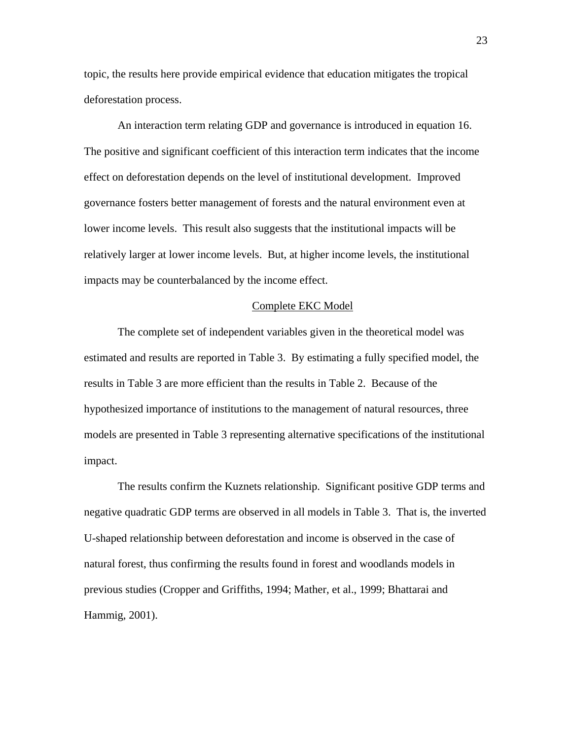topic, the results here provide empirical evidence that education mitigates the tropical deforestation process.

 An interaction term relating GDP and governance is introduced in equation 16. The positive and significant coefficient of this interaction term indicates that the income effect on deforestation depends on the level of institutional development. Improved governance fosters better management of forests and the natural environment even at lower income levels. This result also suggests that the institutional impacts will be relatively larger at lower income levels. But, at higher income levels, the institutional impacts may be counterbalanced by the income effect.

#### Complete EKC Model

The complete set of independent variables given in the theoretical model was estimated and results are reported in Table 3. By estimating a fully specified model, the results in Table 3 are more efficient than the results in Table 2. Because of the hypothesized importance of institutions to the management of natural resources, three models are presented in Table 3 representing alternative specifications of the institutional impact.

The results confirm the Kuznets relationship. Significant positive GDP terms and negative quadratic GDP terms are observed in all models in Table 3. That is, the inverted U-shaped relationship between deforestation and income is observed in the case of natural forest, thus confirming the results found in forest and woodlands models in previous studies (Cropper and Griffiths, 1994; Mather, et al., 1999; Bhattarai and Hammig, 2001).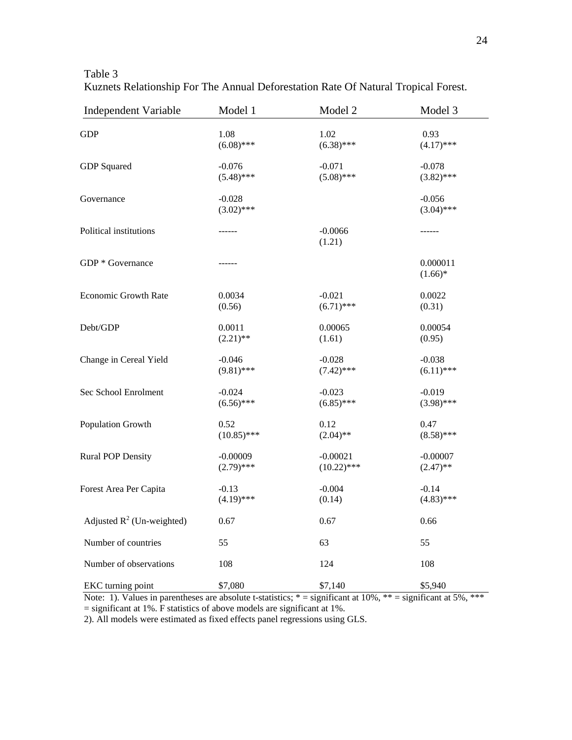| <b>Independent Variable</b>  | Model 1                  | Model 2             | Model 3                  |
|------------------------------|--------------------------|---------------------|--------------------------|
| <b>GDP</b>                   | 1.08                     | 1.02                | 0.93                     |
|                              | $(6.08)$ ***             | $(6.38)$ ***        | $(4.17)$ ***             |
| GDP Squared                  | $-0.076$                 | $-0.071$            | $-0.078$                 |
|                              | $(5.48)$ ***             | $(5.08)$ ***        | $(3.82)$ ***             |
| Governance                   | $-0.028$<br>$(3.02)$ *** |                     | $-0.056$<br>$(3.04)$ *** |
| Political institutions       | ------                   | $-0.0066$<br>(1.21) | ------                   |
| GDP * Governance             | ------                   |                     | 0.000011<br>$(1.66)*$    |
| Economic Growth Rate         | 0.0034                   | $-0.021$            | 0.0022                   |
|                              | (0.56)                   | $(6.71)$ ***        | (0.31)                   |
| Debt/GDP                     | 0.0011                   | 0.00065             | 0.00054                  |
|                              | $(2.21)$ **              | (1.61)              | (0.95)                   |
| Change in Cereal Yield       | $-0.046$                 | $-0.028$            | $-0.038$                 |
|                              | $(9.81)$ ***             | $(7.42)$ ***        | $(6.11)$ ***             |
| Sec School Enrolment         | $-0.024$                 | $-0.023$            | $-0.019$                 |
|                              | $(6.56)$ ***             | $(6.85)$ ***        | $(3.98)$ ***             |
| Population Growth            | 0.52                     | 0.12                | 0.47                     |
|                              | $(10.85)$ ***            | $(2.04)$ **         | $(8.58)$ ***             |
| <b>Rural POP Density</b>     | $-0.00009$               | $-0.00021$          | $-0.00007$               |
|                              | $(2.79)$ ***             | $(10.22)$ ***       | $(2.47)$ **              |
| Forest Area Per Capita       | $-0.13$                  | $-0.004$            | $-0.14$                  |
|                              | $(4.19)$ ***             | (0.14)              | $(4.83)$ ***             |
| Adjusted $R^2$ (Un-weighted) | 0.67                     | 0.67                | 0.66                     |
| Number of countries          | 55                       | 63                  | 55                       |
| Number of observations       | 108                      | 124                 | 108                      |
| EKC turning point            | \$7,080                  | \$7,140             | \$5,940                  |

Table 3 Kuznets Relationship For The Annual Deforestation Rate Of Natural Tropical Forest.

Note: 1). Values in parentheses are absolute t-statistics;  $* =$  significant at 10%,  $** =$  significant at 5%,  $***$  $=$  significant at 1%. F statistics of above models are significant at 1%.

2). All models were estimated as fixed effects panel regressions using GLS.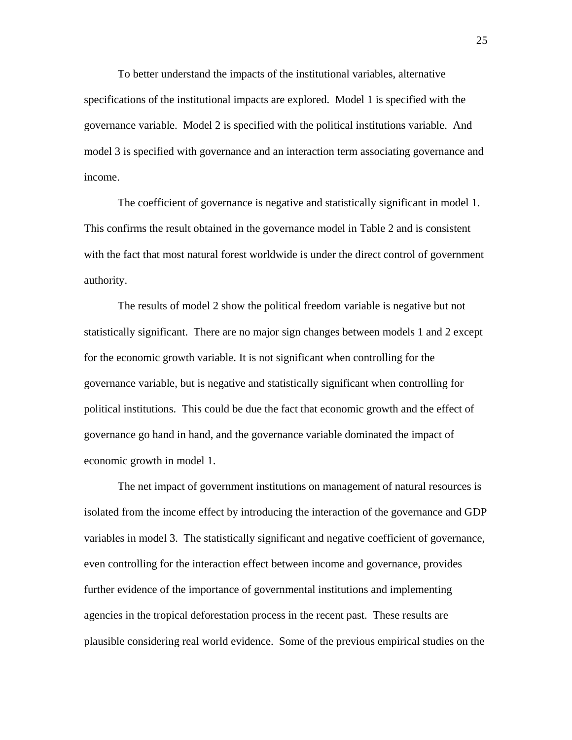To better understand the impacts of the institutional variables, alternative specifications of the institutional impacts are explored. Model 1 is specified with the governance variable. Model 2 is specified with the political institutions variable. And model 3 is specified with governance and an interaction term associating governance and income.

The coefficient of governance is negative and statistically significant in model 1. This confirms the result obtained in the governance model in Table 2 and is consistent with the fact that most natural forest worldwide is under the direct control of government authority.

The results of model 2 show the political freedom variable is negative but not statistically significant. There are no major sign changes between models 1 and 2 except for the economic growth variable. It is not significant when controlling for the governance variable, but is negative and statistically significant when controlling for political institutions. This could be due the fact that economic growth and the effect of governance go hand in hand, and the governance variable dominated the impact of economic growth in model 1.

The net impact of government institutions on management of natural resources is isolated from the income effect by introducing the interaction of the governance and GDP variables in model 3. The statistically significant and negative coefficient of governance, even controlling for the interaction effect between income and governance, provides further evidence of the importance of governmental institutions and implementing agencies in the tropical deforestation process in the recent past. These results are plausible considering real world evidence. Some of the previous empirical studies on the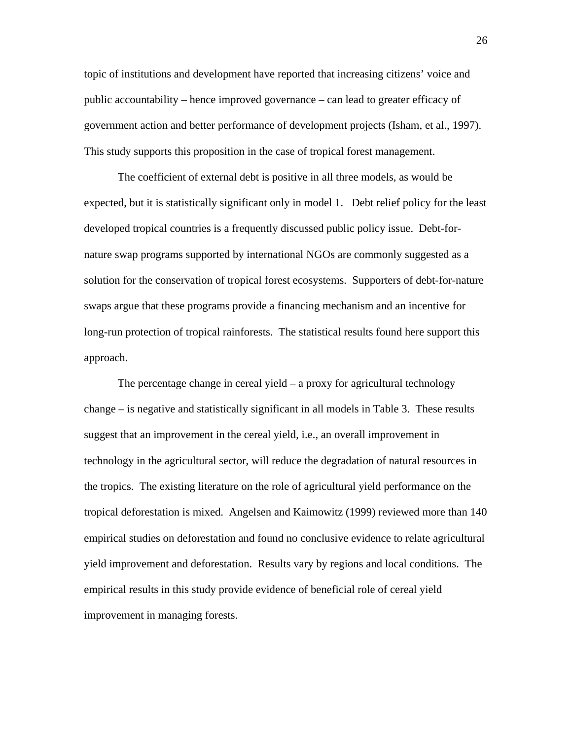topic of institutions and development have reported that increasing citizens' voice and public accountability – hence improved governance – can lead to greater efficacy of government action and better performance of development projects (Isham, et al., 1997). This study supports this proposition in the case of tropical forest management.

The coefficient of external debt is positive in all three models, as would be expected, but it is statistically significant only in model 1. Debt relief policy for the least developed tropical countries is a frequently discussed public policy issue. Debt-fornature swap programs supported by international NGOs are commonly suggested as a solution for the conservation of tropical forest ecosystems. Supporters of debt-for-nature swaps argue that these programs provide a financing mechanism and an incentive for long-run protection of tropical rainforests. The statistical results found here support this approach.

The percentage change in cereal yield – a proxy for agricultural technology change – is negative and statistically significant in all models in Table 3. These results suggest that an improvement in the cereal yield, i.e., an overall improvement in technology in the agricultural sector, will reduce the degradation of natural resources in the tropics. The existing literature on the role of agricultural yield performance on the tropical deforestation is mixed. Angelsen and Kaimowitz (1999) reviewed more than 140 empirical studies on deforestation and found no conclusive evidence to relate agricultural yield improvement and deforestation. Results vary by regions and local conditions. The empirical results in this study provide evidence of beneficial role of cereal yield improvement in managing forests.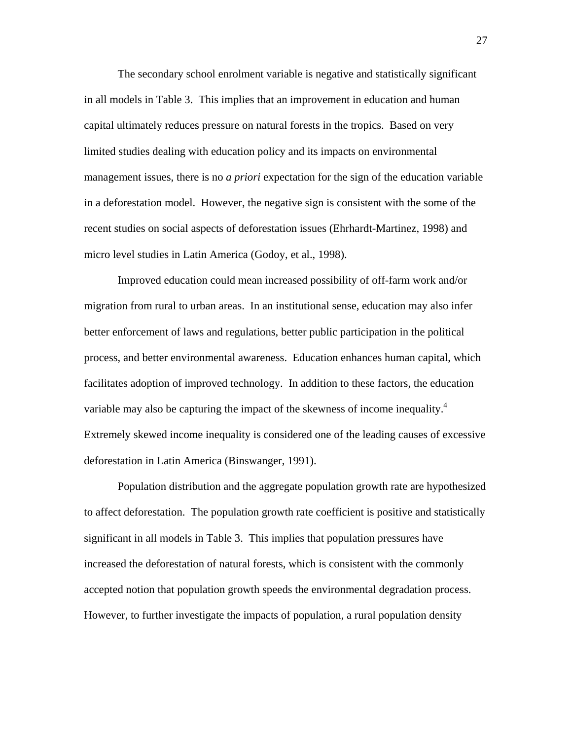The secondary school enrolment variable is negative and statistically significant in all models in Table 3. This implies that an improvement in education and human capital ultimately reduces pressure on natural forests in the tropics. Based on very limited studies dealing with education policy and its impacts on environmental management issues, there is no *a priori* expectation for the sign of the education variable in a deforestation model. However, the negative sign is consistent with the some of the recent studies on social aspects of deforestation issues (Ehrhardt-Martinez, 1998) and micro level studies in Latin America (Godoy, et al., 1998).

Improved education could mean increased possibility of off-farm work and/or migration from rural to urban areas. In an institutional sense, education may also infer better enforcement of laws and regulations, better public participation in the political process, and better environmental awareness. Education enhances human capital, which facilitates adoption of improved technology. In addition to these factors, the education variable may also be capturing the impact of the skewness of income inequality. $4$ Extremely skewed income inequality is considered one of the leading causes of excessive deforestation in Latin America (Binswanger, 1991).

Population distribution and the aggregate population growth rate are hypothesized to affect deforestation. The population growth rate coefficient is positive and statistically significant in all models in Table 3. This implies that population pressures have increased the deforestation of natural forests, which is consistent with the commonly accepted notion that population growth speeds the environmental degradation process. However, to further investigate the impacts of population, a rural population density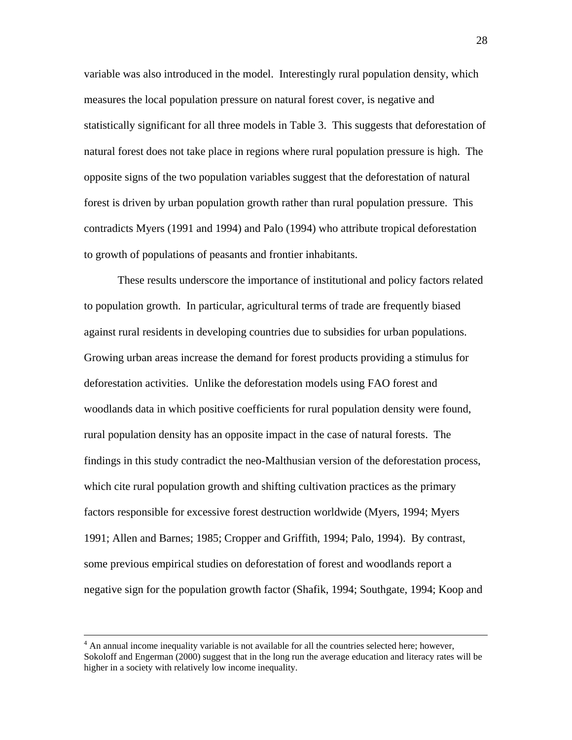variable was also introduced in the model. Interestingly rural population density, which measures the local population pressure on natural forest cover, is negative and statistically significant for all three models in Table 3. This suggests that deforestation of natural forest does not take place in regions where rural population pressure is high. The opposite signs of the two population variables suggest that the deforestation of natural forest is driven by urban population growth rather than rural population pressure. This contradicts Myers (1991 and 1994) and Palo (1994) who attribute tropical deforestation to growth of populations of peasants and frontier inhabitants.

These results underscore the importance of institutional and policy factors related to population growth. In particular, agricultural terms of trade are frequently biased against rural residents in developing countries due to subsidies for urban populations. Growing urban areas increase the demand for forest products providing a stimulus for deforestation activities. Unlike the deforestation models using FAO forest and woodlands data in which positive coefficients for rural population density were found, rural population density has an opposite impact in the case of natural forests. The findings in this study contradict the neo-Malthusian version of the deforestation process, which cite rural population growth and shifting cultivation practices as the primary factors responsible for excessive forest destruction worldwide (Myers, 1994; Myers 1991; Allen and Barnes; 1985; Cropper and Griffith, 1994; Palo, 1994). By contrast, some previous empirical studies on deforestation of forest and woodlands report a negative sign for the population growth factor (Shafik, 1994; Southgate, 1994; Koop and

 $\frac{1}{4}$  $<sup>4</sup>$  An annual income inequality variable is not available for all the countries selected here; however,</sup> Sokoloff and Engerman (2000) suggest that in the long run the average education and literacy rates will be higher in a society with relatively low income inequality.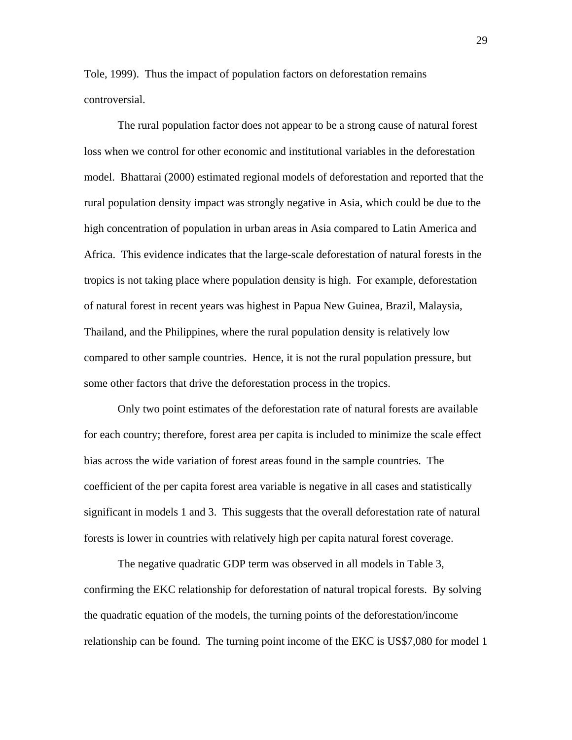Tole, 1999). Thus the impact of population factors on deforestation remains controversial.

The rural population factor does not appear to be a strong cause of natural forest loss when we control for other economic and institutional variables in the deforestation model. Bhattarai (2000) estimated regional models of deforestation and reported that the rural population density impact was strongly negative in Asia, which could be due to the high concentration of population in urban areas in Asia compared to Latin America and Africa. This evidence indicates that the large-scale deforestation of natural forests in the tropics is not taking place where population density is high. For example, deforestation of natural forest in recent years was highest in Papua New Guinea, Brazil, Malaysia, Thailand, and the Philippines, where the rural population density is relatively low compared to other sample countries. Hence, it is not the rural population pressure, but some other factors that drive the deforestation process in the tropics.

Only two point estimates of the deforestation rate of natural forests are available for each country; therefore, forest area per capita is included to minimize the scale effect bias across the wide variation of forest areas found in the sample countries. The coefficient of the per capita forest area variable is negative in all cases and statistically significant in models 1 and 3. This suggests that the overall deforestation rate of natural forests is lower in countries with relatively high per capita natural forest coverage.

The negative quadratic GDP term was observed in all models in Table 3, confirming the EKC relationship for deforestation of natural tropical forests. By solving the quadratic equation of the models, the turning points of the deforestation/income relationship can be found. The turning point income of the EKC is US\$7,080 for model 1

29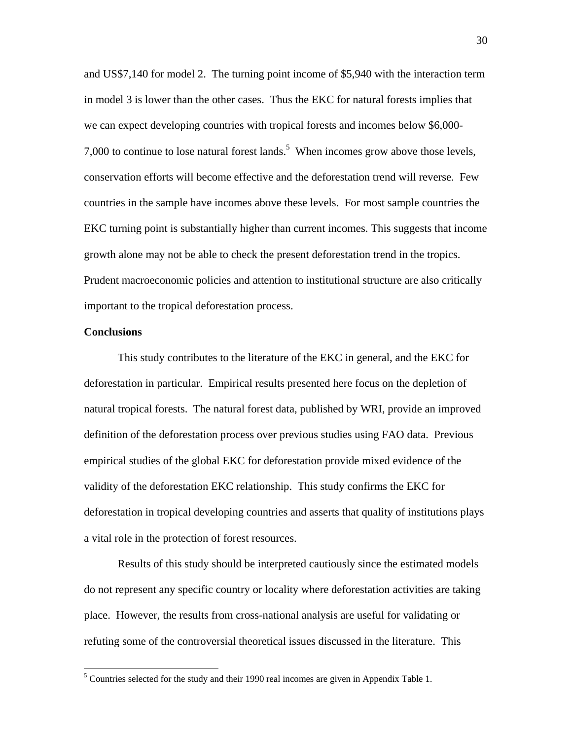and US\$7,140 for model 2. The turning point income of \$5,940 with the interaction term in model 3 is lower than the other cases. Thus the EKC for natural forests implies that we can expect developing countries with tropical forests and incomes below \$6,000- 7,000 to continue to lose natural forest lands.<sup>5</sup> When incomes grow above those levels, conservation efforts will become effective and the deforestation trend will reverse. Few countries in the sample have incomes above these levels. For most sample countries the EKC turning point is substantially higher than current incomes. This suggests that income growth alone may not be able to check the present deforestation trend in the tropics. Prudent macroeconomic policies and attention to institutional structure are also critically important to the tropical deforestation process.

### **Conclusions**

 $\overline{a}$ 

This study contributes to the literature of the EKC in general, and the EKC for deforestation in particular. Empirical results presented here focus on the depletion of natural tropical forests. The natural forest data, published by WRI, provide an improved definition of the deforestation process over previous studies using FAO data. Previous empirical studies of the global EKC for deforestation provide mixed evidence of the validity of the deforestation EKC relationship. This study confirms the EKC for deforestation in tropical developing countries and asserts that quality of institutions plays a vital role in the protection of forest resources.

Results of this study should be interpreted cautiously since the estimated models do not represent any specific country or locality where deforestation activities are taking place. However, the results from cross-national analysis are useful for validating or refuting some of the controversial theoretical issues discussed in the literature. This

 $<sup>5</sup>$  Countries selected for the study and their 1990 real incomes are given in Appendix Table 1.</sup>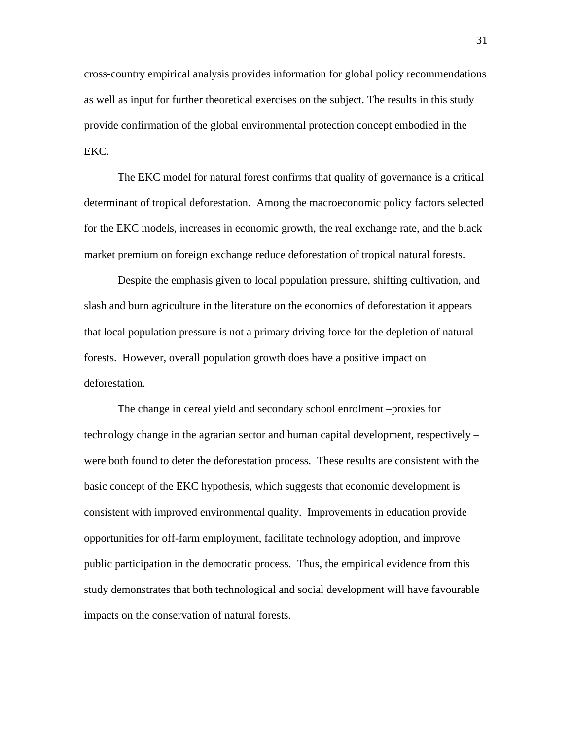cross-country empirical analysis provides information for global policy recommendations as well as input for further theoretical exercises on the subject. The results in this study provide confirmation of the global environmental protection concept embodied in the EKC.

The EKC model for natural forest confirms that quality of governance is a critical determinant of tropical deforestation. Among the macroeconomic policy factors selected for the EKC models, increases in economic growth, the real exchange rate, and the black market premium on foreign exchange reduce deforestation of tropical natural forests.

Despite the emphasis given to local population pressure, shifting cultivation, and slash and burn agriculture in the literature on the economics of deforestation it appears that local population pressure is not a primary driving force for the depletion of natural forests. However, overall population growth does have a positive impact on deforestation.

The change in cereal yield and secondary school enrolment –proxies for technology change in the agrarian sector and human capital development, respectively – were both found to deter the deforestation process. These results are consistent with the basic concept of the EKC hypothesis, which suggests that economic development is consistent with improved environmental quality. Improvements in education provide opportunities for off-farm employment, facilitate technology adoption, and improve public participation in the democratic process. Thus, the empirical evidence from this study demonstrates that both technological and social development will have favourable impacts on the conservation of natural forests.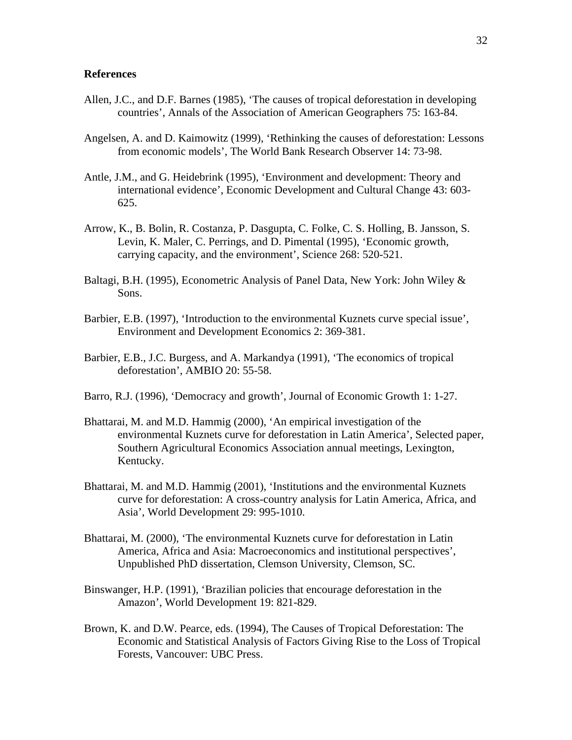### **References**

- Allen, J.C., and D.F. Barnes (1985), 'The causes of tropical deforestation in developing countries', Annals of the Association of American Geographers 75: 163-84.
- Angelsen, A. and D. Kaimowitz (1999), 'Rethinking the causes of deforestation: Lessons from economic models', The World Bank Research Observer 14: 73-98.
- Antle, J.M., and G. Heidebrink (1995), 'Environment and development: Theory and international evidence', Economic Development and Cultural Change 43: 603- 625.
- Arrow, K., B. Bolin, R. Costanza, P. Dasgupta, C. Folke, C. S. Holling, B. Jansson, S. Levin, K. Maler, C. Perrings, and D. Pimental (1995), 'Economic growth, carrying capacity, and the environment', Science 268: 520-521.
- Baltagi, B.H. (1995), Econometric Analysis of Panel Data, New York: John Wiley & Sons.
- Barbier, E.B. (1997), 'Introduction to the environmental Kuznets curve special issue', Environment and Development Economics 2: 369-381.
- Barbier, E.B., J.C. Burgess, and A. Markandya (1991), 'The economics of tropical deforestation', AMBIO 20: 55-58.
- Barro, R.J. (1996), 'Democracy and growth', Journal of Economic Growth 1: 1-27.
- Bhattarai, M. and M.D. Hammig (2000), 'An empirical investigation of the environmental Kuznets curve for deforestation in Latin America', Selected paper, Southern Agricultural Economics Association annual meetings, Lexington, Kentucky.
- Bhattarai, M. and M.D. Hammig (2001), 'Institutions and the environmental Kuznets curve for deforestation: A cross-country analysis for Latin America, Africa, and Asia', World Development 29: 995-1010.
- Bhattarai, M. (2000), 'The environmental Kuznets curve for deforestation in Latin America, Africa and Asia: Macroeconomics and institutional perspectives', Unpublished PhD dissertation, Clemson University, Clemson, SC.
- Binswanger, H.P. (1991), 'Brazilian policies that encourage deforestation in the Amazon', World Development 19: 821-829.
- Brown, K. and D.W. Pearce, eds. (1994), The Causes of Tropical Deforestation: The Economic and Statistical Analysis of Factors Giving Rise to the Loss of Tropical Forests, Vancouver: UBC Press.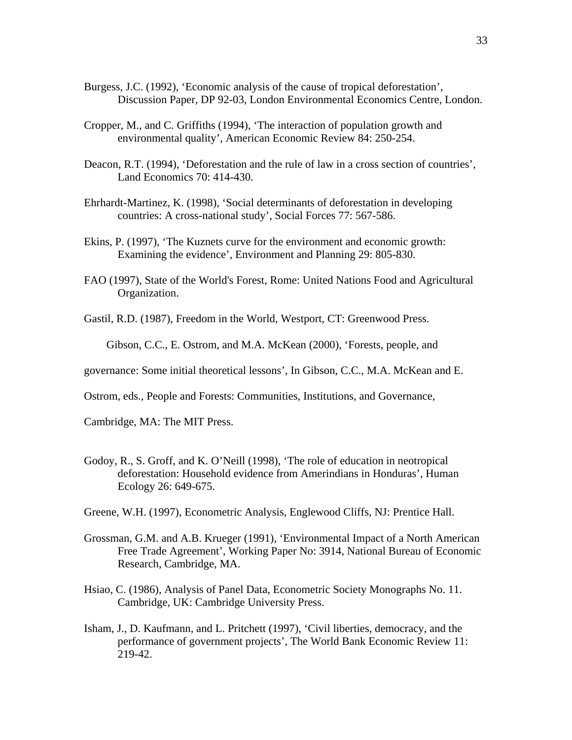- Burgess, J.C. (1992), 'Economic analysis of the cause of tropical deforestation', Discussion Paper, DP 92-03, London Environmental Economics Centre, London.
- Cropper, M., and C. Griffiths (1994), 'The interaction of population growth and environmental quality', American Economic Review 84: 250-254.
- Deacon, R.T. (1994), 'Deforestation and the rule of law in a cross section of countries', Land Economics 70: 414-430.
- Ehrhardt-Martinez, K. (1998), 'Social determinants of deforestation in developing countries: A cross-national study', Social Forces 77: 567-586.
- Ekins, P. (1997), 'The Kuznets curve for the environment and economic growth: Examining the evidence', Environment and Planning 29: 805-830.
- FAO (1997), State of the World's Forest, Rome: United Nations Food and Agricultural Organization.
- Gastil, R.D. (1987), Freedom in the World, Westport, CT: Greenwood Press.

Gibson, C.C., E. Ostrom, and M.A. McKean (2000), 'Forests, people, and

- governance: Some initial theoretical lessons', In Gibson, C.C., M.A. McKean and E.
- Ostrom, eds., People and Forests: Communities, Institutions, and Governance,

Cambridge, MA: The MIT Press.

- Godoy, R., S. Groff, and K. O'Neill (1998), 'The role of education in neotropical deforestation: Household evidence from Amerindians in Honduras', Human Ecology 26: 649-675.
- Greene, W.H. (1997), Econometric Analysis, Englewood Cliffs, NJ: Prentice Hall.
- Grossman, G.M. and A.B. Krueger (1991), 'Environmental Impact of a North American Free Trade Agreement', Working Paper No: 3914, National Bureau of Economic Research, Cambridge, MA.
- Hsiao, C. (1986), Analysis of Panel Data, Econometric Society Monographs No. 11. Cambridge, UK: Cambridge University Press.
- Isham, J., D. Kaufmann, and L. Pritchett (1997), 'Civil liberties, democracy, and the performance of government projects', The World Bank Economic Review 11: 219-42.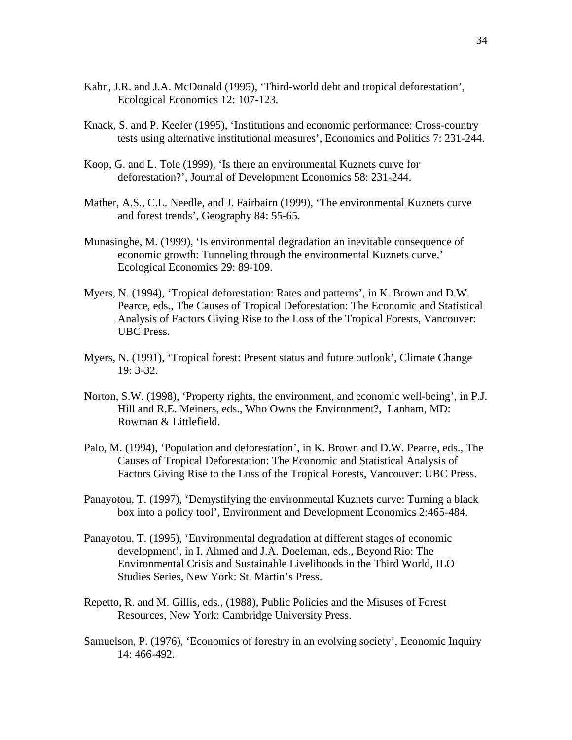- Kahn, J.R. and J.A. McDonald (1995), 'Third-world debt and tropical deforestation', Ecological Economics 12: 107-123.
- Knack, S. and P. Keefer (1995), 'Institutions and economic performance: Cross-country tests using alternative institutional measures', Economics and Politics 7: 231-244.
- Koop, G. and L. Tole (1999), 'Is there an environmental Kuznets curve for deforestation?', Journal of Development Economics 58: 231-244.
- Mather, A.S., C.L. Needle, and J. Fairbairn (1999), 'The environmental Kuznets curve and forest trends', Geography 84: 55-65.
- Munasinghe, M. (1999), 'Is environmental degradation an inevitable consequence of economic growth: Tunneling through the environmental Kuznets curve,' Ecological Economics 29: 89-109.
- Myers, N. (1994), 'Tropical deforestation: Rates and patterns', in K. Brown and D.W. Pearce, eds., The Causes of Tropical Deforestation: The Economic and Statistical Analysis of Factors Giving Rise to the Loss of the Tropical Forests, Vancouver: UBC Press.
- Myers, N. (1991), 'Tropical forest: Present status and future outlook', Climate Change 19: 3-32.
- Norton, S.W. (1998), 'Property rights, the environment, and economic well-being', in P.J. Hill and R.E. Meiners, eds., Who Owns the Environment?, Lanham, MD: Rowman & Littlefield.
- Palo, M. (1994), 'Population and deforestation', in K. Brown and D.W. Pearce, eds., The Causes of Tropical Deforestation: The Economic and Statistical Analysis of Factors Giving Rise to the Loss of the Tropical Forests, Vancouver: UBC Press.
- Panayotou, T. (1997), 'Demystifying the environmental Kuznets curve: Turning a black box into a policy tool', Environment and Development Economics 2:465-484.
- Panayotou, T. (1995), 'Environmental degradation at different stages of economic development', in I. Ahmed and J.A. Doeleman, eds., Beyond Rio: The Environmental Crisis and Sustainable Livelihoods in the Third World, ILO Studies Series, New York: St. Martin's Press.
- Repetto, R. and M. Gillis, eds., (1988), Public Policies and the Misuses of Forest Resources, New York: Cambridge University Press.
- Samuelson, P. (1976), 'Economics of forestry in an evolving society', Economic Inquiry 14: 466-492.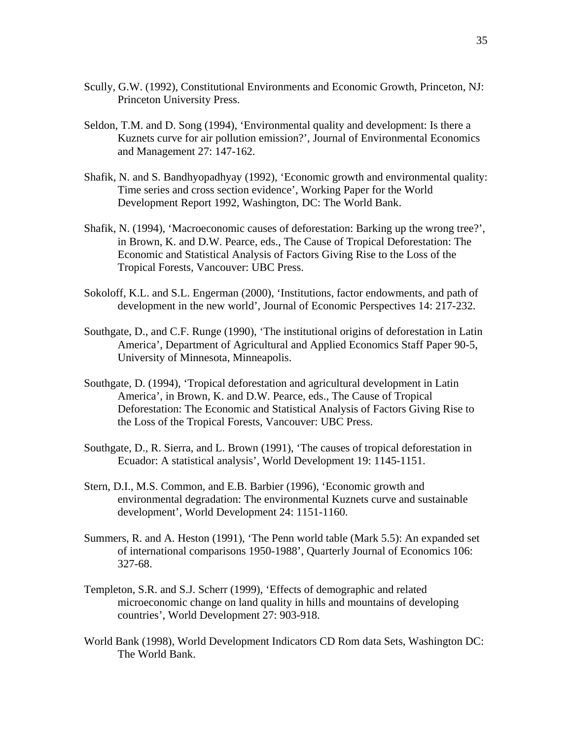- Scully, G.W. (1992), Constitutional Environments and Economic Growth, Princeton, NJ: Princeton University Press.
- Seldon, T.M. and D. Song (1994), 'Environmental quality and development: Is there a Kuznets curve for air pollution emission?', Journal of Environmental Economics and Management 27: 147-162.
- Shafik, N. and S. Bandhyopadhyay (1992), 'Economic growth and environmental quality: Time series and cross section evidence', Working Paper for the World Development Report 1992, Washington, DC: The World Bank.
- Shafik, N. (1994), 'Macroeconomic causes of deforestation: Barking up the wrong tree?', in Brown, K. and D.W. Pearce, eds., The Cause of Tropical Deforestation: The Economic and Statistical Analysis of Factors Giving Rise to the Loss of the Tropical Forests*,* Vancouver: UBC Press.
- Sokoloff, K.L. and S.L. Engerman (2000), 'Institutions, factor endowments, and path of development in the new world', Journal of Economic Perspectives 14: 217-232.
- Southgate, D., and C.F. Runge (1990), 'The institutional origins of deforestation in Latin America', Department of Agricultural and Applied Economics Staff Paper 90-5, University of Minnesota, Minneapolis.
- Southgate, D. (1994), 'Tropical deforestation and agricultural development in Latin America', in Brown, K. and D.W. Pearce, eds., The Cause of Tropical Deforestation: The Economic and Statistical Analysis of Factors Giving Rise to the Loss of the Tropical Forests, Vancouver: UBC Press.
- Southgate, D., R. Sierra, and L. Brown (1991), 'The causes of tropical deforestation in Ecuador: A statistical analysis', World Development 19: 1145-1151.
- Stern, D.I., M.S. Common, and E.B. Barbier (1996), 'Economic growth and environmental degradation: The environmental Kuznets curve and sustainable development', World Development 24: 1151-1160.
- Summers, R. and A. Heston (1991), 'The Penn world table (Mark 5.5): An expanded set of international comparisons 1950-1988', Quarterly Journal of Economics 106: 327-68.
- Templeton, S.R. and S.J. Scherr (1999), 'Effects of demographic and related microeconomic change on land quality in hills and mountains of developing countries', World Development 27: 903-918.
- World Bank (1998), World Development Indicators CD Rom data Sets, Washington DC: The World Bank.